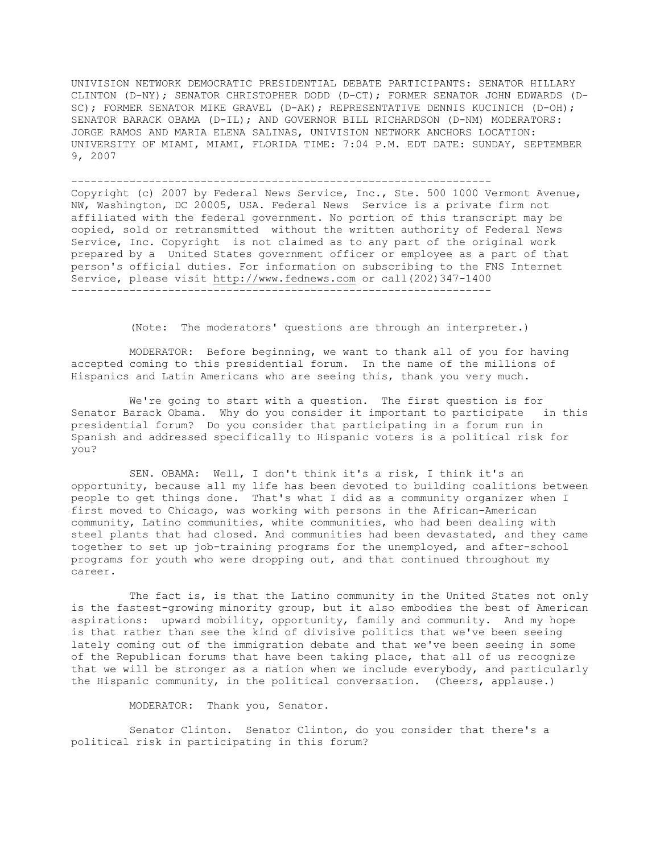UNIVISION NETWORK DEMOCRATIC PRESIDENTIAL DEBATE PARTICIPANTS: SENATOR HILLARY CLINTON (D-NY); SENATOR CHRISTOPHER DODD (D-CT); FORMER SENATOR JOHN EDWARDS (D-SC); FORMER SENATOR MIKE GRAVEL (D-AK); REPRESENTATIVE DENNIS KUCINICH (D-OH); SENATOR BARACK OBAMA (D-IL); AND GOVERNOR BILL RICHARDSON (D-NM) MODERATORS: JORGE RAMOS AND MARIA ELENA SALINAS, UNIVISION NETWORK ANCHORS LOCATION: UNIVERSITY OF MIAMI, MIAMI, FLORIDA TIME: 7:04 P.M. EDT DATE: SUNDAY, SEPTEMBER 9, 2007

----------------------------------------------------------------- Copyright (c) 2007 by Federal News Service, Inc., Ste. 500 1000 Vermont Avenue, NW, Washington, DC 20005, USA. Federal News Service is a private firm not affiliated with the federal government. No portion of this transcript may be copied, sold or retransmitted without the written authority of Federal News Service, Inc. Copyright is not claimed as to any part of the original work prepared by a United States government officer or employee as a part of that person's official duties. For information on subscribing to the FNS Internet Service, please visit http://www.fednews.com or call(202)347-1400 -----------------------------------------------------------------

(Note: The moderators' questions are through an interpreter.)

 MODERATOR: Before beginning, we want to thank all of you for having accepted coming to this presidential forum. In the name of the millions of Hispanics and Latin Americans who are seeing this, thank you very much.

 We're going to start with a question. The first question is for Senator Barack Obama. Why do you consider it important to participate in this presidential forum? Do you consider that participating in a forum run in Spanish and addressed specifically to Hispanic voters is a political risk for you?

 SEN. OBAMA: Well, I don't think it's a risk, I think it's an opportunity, because all my life has been devoted to building coalitions between people to get things done. That's what I did as a community organizer when I first moved to Chicago, was working with persons in the African-American community, Latino communities, white communities, who had been dealing with steel plants that had closed. And communities had been devastated, and they came together to set up job-training programs for the unemployed, and after-school programs for youth who were dropping out, and that continued throughout my career.

 The fact is, is that the Latino community in the United States not only is the fastest-growing minority group, but it also embodies the best of American aspirations: upward mobility, opportunity, family and community. And my hope is that rather than see the kind of divisive politics that we've been seeing lately coming out of the immigration debate and that we've been seeing in some of the Republican forums that have been taking place, that all of us recognize that we will be stronger as a nation when we include everybody, and particularly the Hispanic community, in the political conversation. (Cheers, applause.)

MODERATOR: Thank you, Senator.

 Senator Clinton. Senator Clinton, do you consider that there's a political risk in participating in this forum?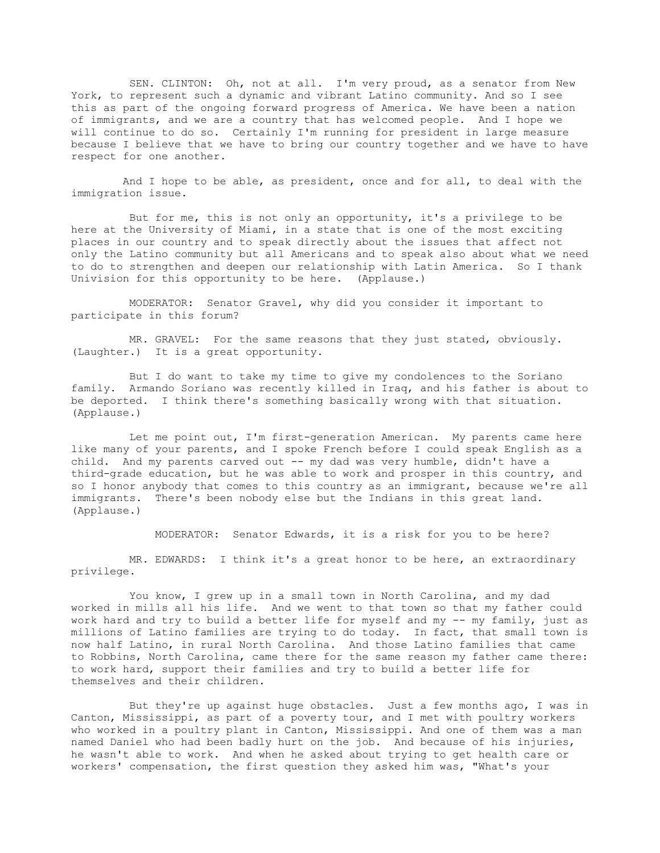SEN. CLINTON: Oh, not at all. I'm very proud, as a senator from New York, to represent such a dynamic and vibrant Latino community. And so I see this as part of the ongoing forward progress of America. We have been a nation of immigrants, and we are a country that has welcomed people. And I hope we will continue to do so. Certainly I'm running for president in large measure because I believe that we have to bring our country together and we have to have respect for one another.

 And I hope to be able, as president, once and for all, to deal with the immigration issue.

 But for me, this is not only an opportunity, it's a privilege to be here at the University of Miami, in a state that is one of the most exciting places in our country and to speak directly about the issues that affect not only the Latino community but all Americans and to speak also about what we need to do to strengthen and deepen our relationship with Latin America. So I thank Univision for this opportunity to be here. (Applause.)

 MODERATOR: Senator Gravel, why did you consider it important to participate in this forum?

 MR. GRAVEL: For the same reasons that they just stated, obviously. (Laughter.) It is a great opportunity.

 But I do want to take my time to give my condolences to the Soriano family. Armando Soriano was recently killed in Iraq, and his father is about to be deported. I think there's something basically wrong with that situation. (Applause.)

 Let me point out, I'm first-generation American. My parents came here like many of your parents, and I spoke French before I could speak English as a child. And my parents carved out -- my dad was very humble, didn't have a third-grade education, but he was able to work and prosper in this country, and so I honor anybody that comes to this country as an immigrant, because we're all immigrants. There's been nobody else but the Indians in this great land. (Applause.)

MODERATOR: Senator Edwards, it is a risk for you to be here?

 MR. EDWARDS: I think it's a great honor to be here, an extraordinary privilege.

 You know, I grew up in a small town in North Carolina, and my dad worked in mills all his life. And we went to that town so that my father could work hard and try to build a better life for myself and my -- my family, just as millions of Latino families are trying to do today. In fact, that small town is now half Latino, in rural North Carolina. And those Latino families that came to Robbins, North Carolina, came there for the same reason my father came there: to work hard, support their families and try to build a better life for themselves and their children.

 But they're up against huge obstacles. Just a few months ago, I was in Canton, Mississippi, as part of a poverty tour, and I met with poultry workers who worked in a poultry plant in Canton, Mississippi. And one of them was a man named Daniel who had been badly hurt on the job. And because of his injuries, he wasn't able to work. And when he asked about trying to get health care or workers' compensation, the first question they asked him was, "What's your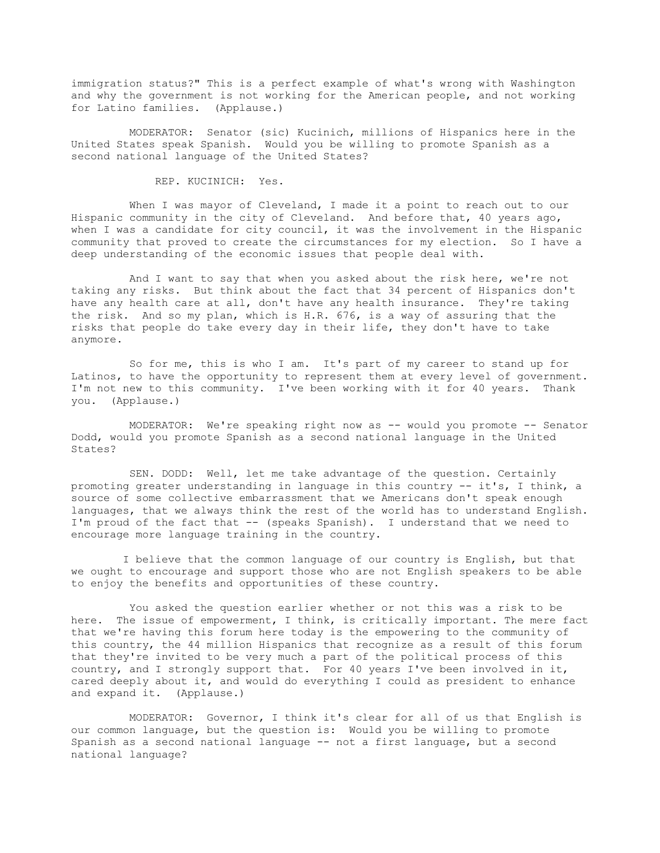immigration status?" This is a perfect example of what's wrong with Washington and why the government is not working for the American people, and not working for Latino families. (Applause.)

 MODERATOR: Senator (sic) Kucinich, millions of Hispanics here in the United States speak Spanish. Would you be willing to promote Spanish as a second national language of the United States?

REP. KUCINICH: Yes.

When I was mayor of Cleveland, I made it a point to reach out to our Hispanic community in the city of Cleveland. And before that, 40 years ago, when I was a candidate for city council, it was the involvement in the Hispanic community that proved to create the circumstances for my election. So I have a deep understanding of the economic issues that people deal with.

 And I want to say that when you asked about the risk here, we're not taking any risks. But think about the fact that 34 percent of Hispanics don't have any health care at all, don't have any health insurance. They're taking the risk. And so my plan, which is H.R. 676, is a way of assuring that the risks that people do take every day in their life, they don't have to take anymore.

 So for me, this is who I am. It's part of my career to stand up for Latinos, to have the opportunity to represent them at every level of government. I'm not new to this community. I've been working with it for 40 years. Thank you. (Applause.)

 MODERATOR: We're speaking right now as -- would you promote -- Senator Dodd, would you promote Spanish as a second national language in the United States?

 SEN. DODD: Well, let me take advantage of the question. Certainly promoting greater understanding in language in this country -- it's, I think, a source of some collective embarrassment that we Americans don't speak enough languages, that we always think the rest of the world has to understand English. I'm proud of the fact that -- (speaks Spanish). I understand that we need to encourage more language training in the country.

 I believe that the common language of our country is English, but that we ought to encourage and support those who are not English speakers to be able to enjoy the benefits and opportunities of these country.

 You asked the question earlier whether or not this was a risk to be here. The issue of empowerment, I think, is critically important. The mere fact that we're having this forum here today is the empowering to the community of this country, the 44 million Hispanics that recognize as a result of this forum that they're invited to be very much a part of the political process of this country, and I strongly support that. For 40 years I've been involved in it, cared deeply about it, and would do everything I could as president to enhance and expand it. (Applause.)

 MODERATOR: Governor, I think it's clear for all of us that English is our common language, but the question is: Would you be willing to promote Spanish as a second national language -- not a first language, but a second national language?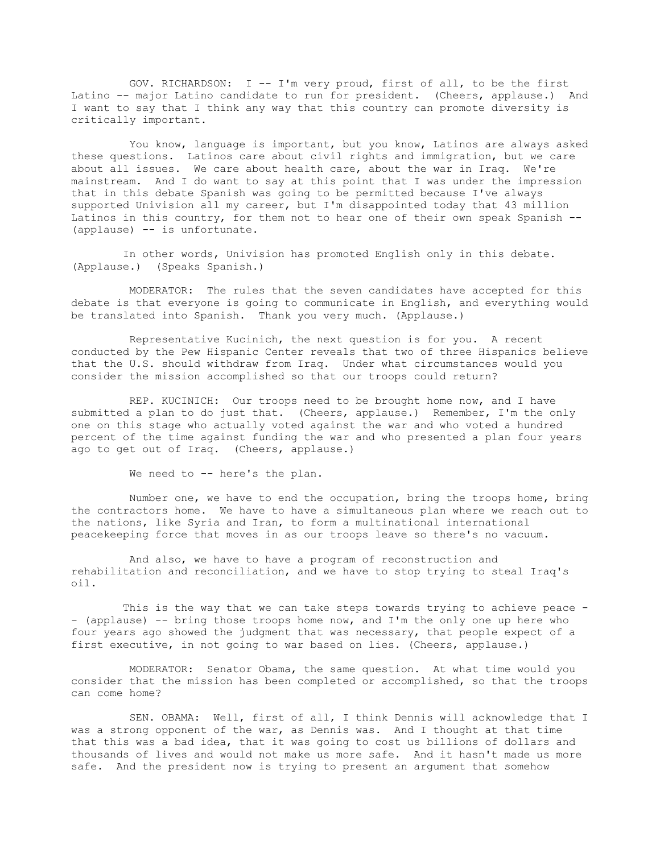GOV. RICHARDSON: I -- I'm very proud, first of all, to be the first Latino -- major Latino candidate to run for president. (Cheers, applause.) And I want to say that I think any way that this country can promote diversity is critically important.

 You know, language is important, but you know, Latinos are always asked these questions. Latinos care about civil rights and immigration, but we care about all issues. We care about health care, about the war in Iraq. We're mainstream. And I do want to say at this point that I was under the impression that in this debate Spanish was going to be permitted because I've always supported Univision all my career, but I'm disappointed today that 43 million Latinos in this country, for them not to hear one of their own speak Spanish -- (applause) -- is unfortunate.

 In other words, Univision has promoted English only in this debate. (Applause.) (Speaks Spanish.)

 MODERATOR: The rules that the seven candidates have accepted for this debate is that everyone is going to communicate in English, and everything would be translated into Spanish. Thank you very much. (Applause.)

 Representative Kucinich, the next question is for you. A recent conducted by the Pew Hispanic Center reveals that two of three Hispanics believe that the U.S. should withdraw from Iraq. Under what circumstances would you consider the mission accomplished so that our troops could return?

 REP. KUCINICH: Our troops need to be brought home now, and I have submitted a plan to do just that. (Cheers, applause.) Remember, I'm the only one on this stage who actually voted against the war and who voted a hundred percent of the time against funding the war and who presented a plan four years ago to get out of Iraq. (Cheers, applause.)

We need to -- here's the plan.

 Number one, we have to end the occupation, bring the troops home, bring the contractors home. We have to have a simultaneous plan where we reach out to the nations, like Syria and Iran, to form a multinational international peacekeeping force that moves in as our troops leave so there's no vacuum.

 And also, we have to have a program of reconstruction and rehabilitation and reconciliation, and we have to stop trying to steal Iraq's oil.

 This is the way that we can take steps towards trying to achieve peace - - (applause) -- bring those troops home now, and I'm the only one up here who four years ago showed the judgment that was necessary, that people expect of a first executive, in not going to war based on lies. (Cheers, applause.)

 MODERATOR: Senator Obama, the same question. At what time would you consider that the mission has been completed or accomplished, so that the troops can come home?

 SEN. OBAMA: Well, first of all, I think Dennis will acknowledge that I was a strong opponent of the war, as Dennis was. And I thought at that time that this was a bad idea, that it was going to cost us billions of dollars and thousands of lives and would not make us more safe. And it hasn't made us more safe. And the president now is trying to present an argument that somehow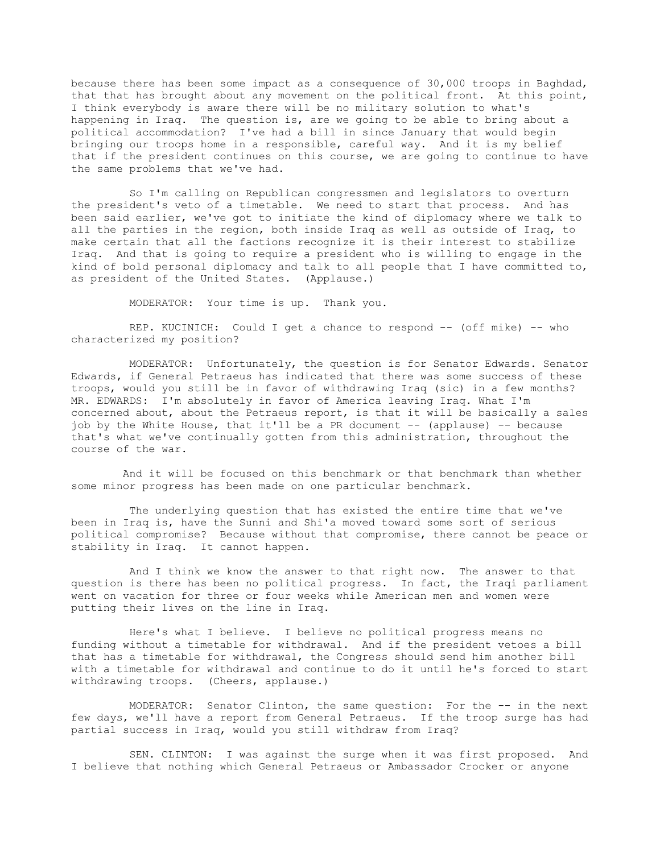because there has been some impact as a consequence of 30,000 troops in Baghdad, that that has brought about any movement on the political front. At this point, I think everybody is aware there will be no military solution to what's happening in Iraq. The question is, are we going to be able to bring about a political accommodation? I've had a bill in since January that would begin bringing our troops home in a responsible, careful way. And it is my belief that if the president continues on this course, we are going to continue to have the same problems that we've had.

 So I'm calling on Republican congressmen and legislators to overturn the president's veto of a timetable. We need to start that process. And has been said earlier, we've got to initiate the kind of diplomacy where we talk to all the parties in the region, both inside Iraq as well as outside of Iraq, to make certain that all the factions recognize it is their interest to stabilize Iraq. And that is going to require a president who is willing to engage in the kind of bold personal diplomacy and talk to all people that I have committed to, as president of the United States. (Applause.)

MODERATOR: Your time is up. Thank you.

 REP. KUCINICH: Could I get a chance to respond -- (off mike) -- who characterized my position?

 MODERATOR: Unfortunately, the question is for Senator Edwards. Senator Edwards, if General Petraeus has indicated that there was some success of these troops, would you still be in favor of withdrawing Iraq (sic) in a few months? MR. EDWARDS: I'm absolutely in favor of America leaving Iraq. What I'm concerned about, about the Petraeus report, is that it will be basically a sales job by the White House, that it'll be a PR document -- (applause) -- because that's what we've continually gotten from this administration, throughout the course of the war.

 And it will be focused on this benchmark or that benchmark than whether some minor progress has been made on one particular benchmark.

 The underlying question that has existed the entire time that we've been in Iraq is, have the Sunni and Shi'a moved toward some sort of serious political compromise? Because without that compromise, there cannot be peace or stability in Iraq. It cannot happen.

 And I think we know the answer to that right now. The answer to that question is there has been no political progress. In fact, the Iraqi parliament went on vacation for three or four weeks while American men and women were putting their lives on the line in Iraq.

 Here's what I believe. I believe no political progress means no funding without a timetable for withdrawal. And if the president vetoes a bill that has a timetable for withdrawal, the Congress should send him another bill with a timetable for withdrawal and continue to do it until he's forced to start withdrawing troops. (Cheers, applause.)

 MODERATOR: Senator Clinton, the same question: For the -- in the next few days, we'll have a report from General Petraeus. If the troop surge has had partial success in Iraq, would you still withdraw from Iraq?

 SEN. CLINTON: I was against the surge when it was first proposed. And I believe that nothing which General Petraeus or Ambassador Crocker or anyone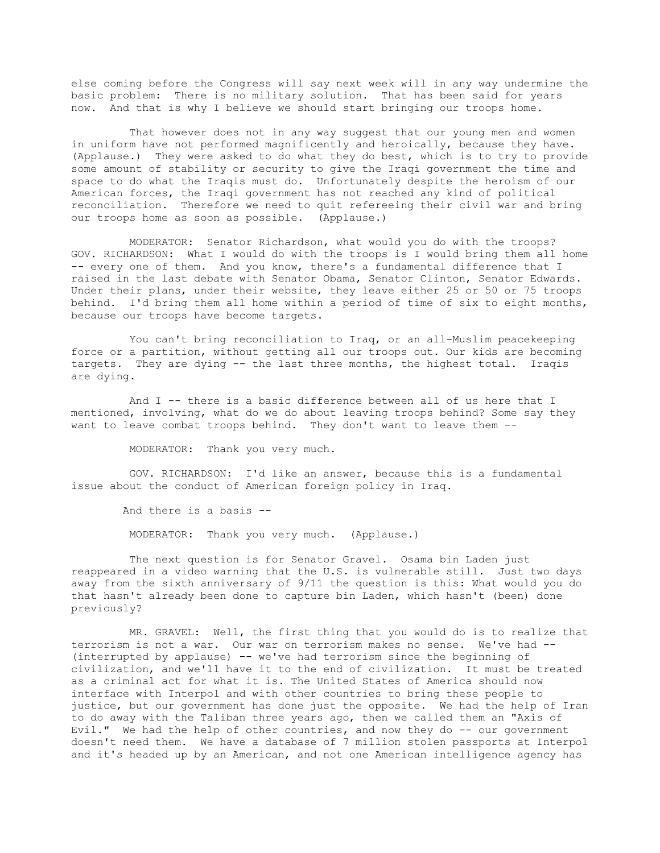else coming before the Congress will say next week will in any way undermine the basic problem: There is no military solution. That has been said for years now. And that is why I believe we should start bringing our troops home.

 That however does not in any way suggest that our young men and women in uniform have not performed magnificently and heroically, because they have. (Applause.) They were asked to do what they do best, which is to try to provide some amount of stability or security to give the Iraqi government the time and space to do what the Iraqis must do. Unfortunately despite the heroism of our American forces, the Iraqi government has not reached any kind of political reconciliation. Therefore we need to quit refereeing their civil war and bring our troops home as soon as possible. (Applause.)

 MODERATOR: Senator Richardson, what would you do with the troops? GOV. RICHARDSON: What I would do with the troops is I would bring them all home -- every one of them. And you know, there's a fundamental difference that I raised in the last debate with Senator Obama, Senator Clinton, Senator Edwards. Under their plans, under their website, they leave either 25 or 50 or 75 troops behind. I'd bring them all home within a period of time of six to eight months, because our troops have become targets.

 You can't bring reconciliation to Iraq, or an all-Muslim peacekeeping force or a partition, without getting all our troops out. Our kids are becoming targets. They are dying -- the last three months, the highest total. Iraqis are dying.

And  $I$  -- there is a basic difference between all of us here that  $I$ mentioned, involving, what do we do about leaving troops behind? Some say they want to leave combat troops behind. They don't want to leave them --

MODERATOR: Thank you very much.

 GOV. RICHARDSON: I'd like an answer, because this is a fundamental issue about the conduct of American foreign policy in Iraq.

And there is a basis --

MODERATOR: Thank you very much. (Applause.)

 The next question is for Senator Gravel. Osama bin Laden just reappeared in a video warning that the U.S. is vulnerable still. Just two days away from the sixth anniversary of 9/11 the question is this: What would you do that hasn't already been done to capture bin Laden, which hasn't (been) done previously?

 MR. GRAVEL: Well, the first thing that you would do is to realize that terrorism is not a war. Our war on terrorism makes no sense. We've had -- (interrupted by applause) -- we've had terrorism since the beginning of civilization, and we'll have it to the end of civilization. It must be treated as a criminal act for what it is. The United States of America should now interface with Interpol and with other countries to bring these people to justice, but our government has done just the opposite. We had the help of Iran to do away with the Taliban three years ago, then we called them an "Axis of Evil." We had the help of other countries, and now they do -- our government doesn't need them. We have a database of 7 million stolen passports at Interpol and it's headed up by an American, and not one American intelligence agency has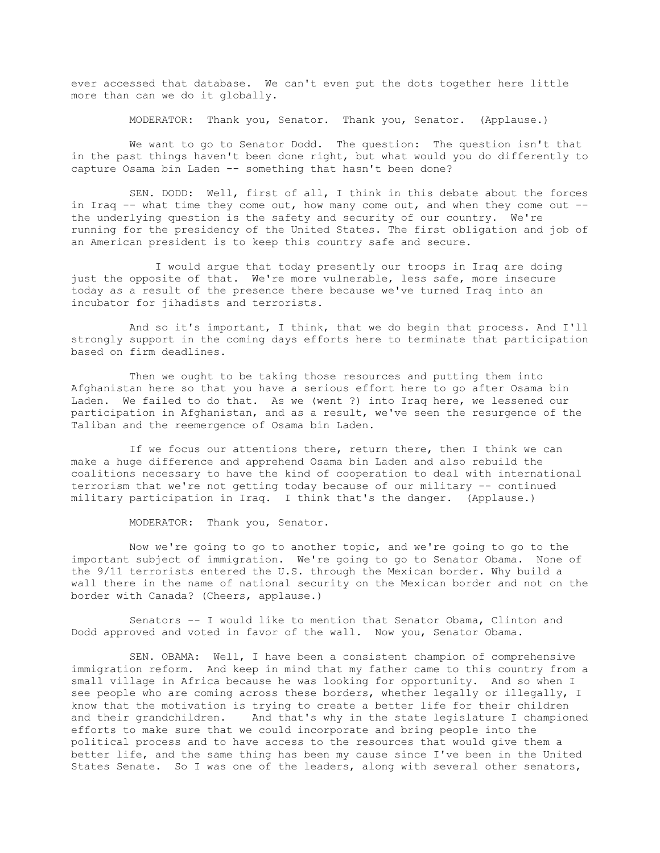ever accessed that database. We can't even put the dots together here little more than can we do it globally.

MODERATOR: Thank you, Senator. Thank you, Senator. (Applause.)

We want to go to Senator Dodd. The question: The question isn't that in the past things haven't been done right, but what would you do differently to capture Osama bin Laden -- something that hasn't been done?

 SEN. DODD: Well, first of all, I think in this debate about the forces in Iraq -- what time they come out, how many come out, and when they come out - the underlying question is the safety and security of our country. We're running for the presidency of the United States. The first obligation and job of an American president is to keep this country safe and secure.

 I would argue that today presently our troops in Iraq are doing just the opposite of that. We're more vulnerable, less safe, more insecure today as a result of the presence there because we've turned Iraq into an incubator for jihadists and terrorists.

 And so it's important, I think, that we do begin that process. And I'll strongly support in the coming days efforts here to terminate that participation based on firm deadlines.

 Then we ought to be taking those resources and putting them into Afghanistan here so that you have a serious effort here to go after Osama bin Laden. We failed to do that. As we (went ?) into Iraq here, we lessened our participation in Afghanistan, and as a result, we've seen the resurgence of the Taliban and the reemergence of Osama bin Laden.

 If we focus our attentions there, return there, then I think we can make a huge difference and apprehend Osama bin Laden and also rebuild the coalitions necessary to have the kind of cooperation to deal with international terrorism that we're not getting today because of our military -- continued military participation in Iraq. I think that's the danger. (Applause.)

MODERATOR: Thank you, Senator.

 Now we're going to go to another topic, and we're going to go to the important subject of immigration. We're going to go to Senator Obama. None of the 9/11 terrorists entered the U.S. through the Mexican border. Why build a wall there in the name of national security on the Mexican border and not on the border with Canada? (Cheers, applause.)

 Senators -- I would like to mention that Senator Obama, Clinton and Dodd approved and voted in favor of the wall. Now you, Senator Obama.

 SEN. OBAMA: Well, I have been a consistent champion of comprehensive immigration reform. And keep in mind that my father came to this country from a small village in Africa because he was looking for opportunity. And so when I see people who are coming across these borders, whether legally or illegally, I know that the motivation is trying to create a better life for their children and their grandchildren. And that's why in the state legislature I championed efforts to make sure that we could incorporate and bring people into the political process and to have access to the resources that would give them a better life, and the same thing has been my cause since I've been in the United States Senate. So I was one of the leaders, along with several other senators,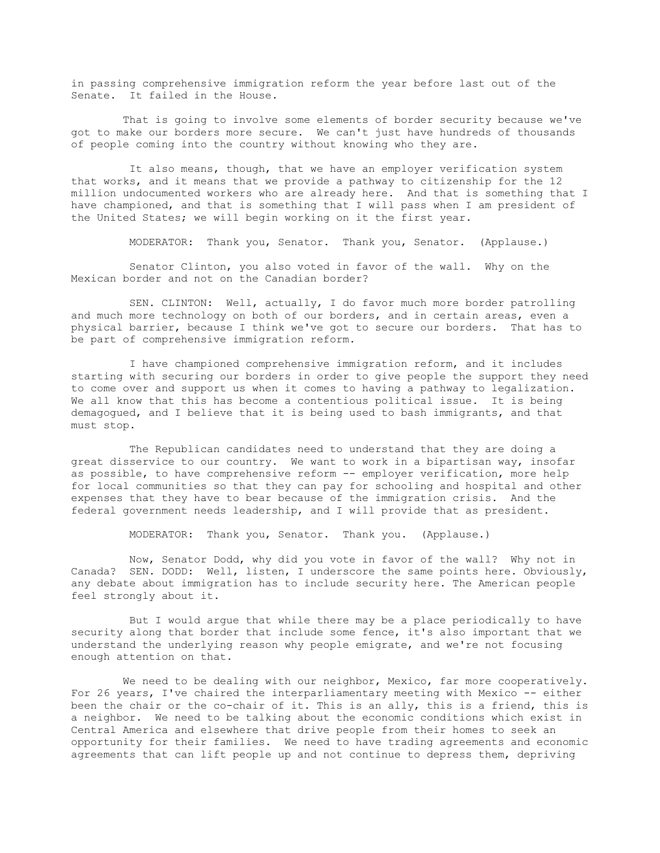in passing comprehensive immigration reform the year before last out of the Senate. It failed in the House.

 That is going to involve some elements of border security because we've got to make our borders more secure. We can't just have hundreds of thousands of people coming into the country without knowing who they are.

It also means, though, that we have an employer verification system that works, and it means that we provide a pathway to citizenship for the 12 million undocumented workers who are already here. And that is something that I have championed, and that is something that I will pass when I am president of the United States; we will begin working on it the first year.

MODERATOR: Thank you, Senator. Thank you, Senator. (Applause.)

 Senator Clinton, you also voted in favor of the wall. Why on the Mexican border and not on the Canadian border?

 SEN. CLINTON: Well, actually, I do favor much more border patrolling and much more technology on both of our borders, and in certain areas, even a physical barrier, because I think we've got to secure our borders. That has to be part of comprehensive immigration reform.

 I have championed comprehensive immigration reform, and it includes starting with securing our borders in order to give people the support they need to come over and support us when it comes to having a pathway to legalization. We all know that this has become a contentious political issue. It is being demagogued, and I believe that it is being used to bash immigrants, and that must stop.

 The Republican candidates need to understand that they are doing a great disservice to our country. We want to work in a bipartisan way, insofar as possible, to have comprehensive reform -- employer verification, more help for local communities so that they can pay for schooling and hospital and other expenses that they have to bear because of the immigration crisis. And the federal government needs leadership, and I will provide that as president.

MODERATOR: Thank you, Senator. Thank you. (Applause.)

 Now, Senator Dodd, why did you vote in favor of the wall? Why not in Canada? SEN. DODD: Well, listen, I underscore the same points here. Obviously, any debate about immigration has to include security here. The American people feel strongly about it.

 But I would argue that while there may be a place periodically to have security along that border that include some fence, it's also important that we understand the underlying reason why people emigrate, and we're not focusing enough attention on that.

We need to be dealing with our neighbor, Mexico, far more cooperatively. For 26 years, I've chaired the interparliamentary meeting with Mexico -- either been the chair or the co-chair of it. This is an ally, this is a friend, this is a neighbor. We need to be talking about the economic conditions which exist in Central America and elsewhere that drive people from their homes to seek an opportunity for their families. We need to have trading agreements and economic agreements that can lift people up and not continue to depress them, depriving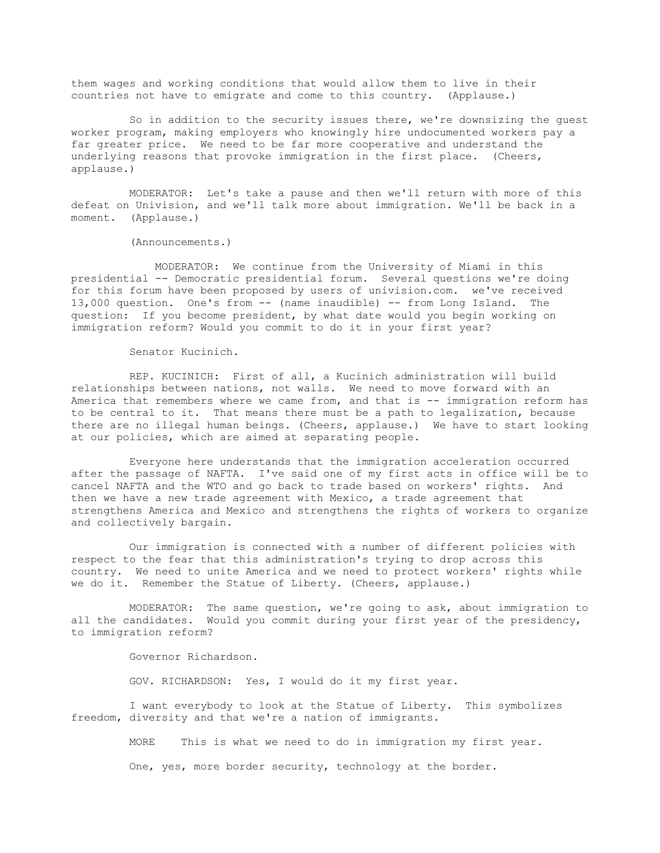them wages and working conditions that would allow them to live in their countries not have to emigrate and come to this country. (Applause.)

 So in addition to the security issues there, we're downsizing the guest worker program, making employers who knowingly hire undocumented workers pay a far greater price. We need to be far more cooperative and understand the underlying reasons that provoke immigration in the first place. (Cheers, applause.)

 MODERATOR: Let's take a pause and then we'll return with more of this defeat on Univision, and we'll talk more about immigration. We'll be back in a moment. (Applause.)

(Announcements.)

 MODERATOR: We continue from the University of Miami in this presidential -- Democratic presidential forum. Several questions we're doing for this forum have been proposed by users of univision.com. we've received 13,000 question. One's from -- (name inaudible) -- from Long Island. The question: If you become president, by what date would you begin working on immigration reform? Would you commit to do it in your first year?

Senator Kucinich.

 REP. KUCINICH: First of all, a Kucinich administration will build relationships between nations, not walls. We need to move forward with an America that remembers where we came from, and that is -- immigration reform has to be central to it. That means there must be a path to legalization, because there are no illegal human beings. (Cheers, applause.) We have to start looking at our policies, which are aimed at separating people.

 Everyone here understands that the immigration acceleration occurred after the passage of NAFTA. I've said one of my first acts in office will be to cancel NAFTA and the WTO and go back to trade based on workers' rights. And then we have a new trade agreement with Mexico, a trade agreement that strengthens America and Mexico and strengthens the rights of workers to organize and collectively bargain.

 Our immigration is connected with a number of different policies with respect to the fear that this administration's trying to drop across this country. We need to unite America and we need to protect workers' rights while we do it. Remember the Statue of Liberty. (Cheers, applause.)

 MODERATOR: The same question, we're going to ask, about immigration to all the candidates. Would you commit during your first year of the presidency, to immigration reform?

Governor Richardson.

GOV. RICHARDSON: Yes, I would do it my first year.

 I want everybody to look at the Statue of Liberty. This symbolizes freedom, diversity and that we're a nation of immigrants.

MORE This is what we need to do in immigration my first year.

One, yes, more border security, technology at the border.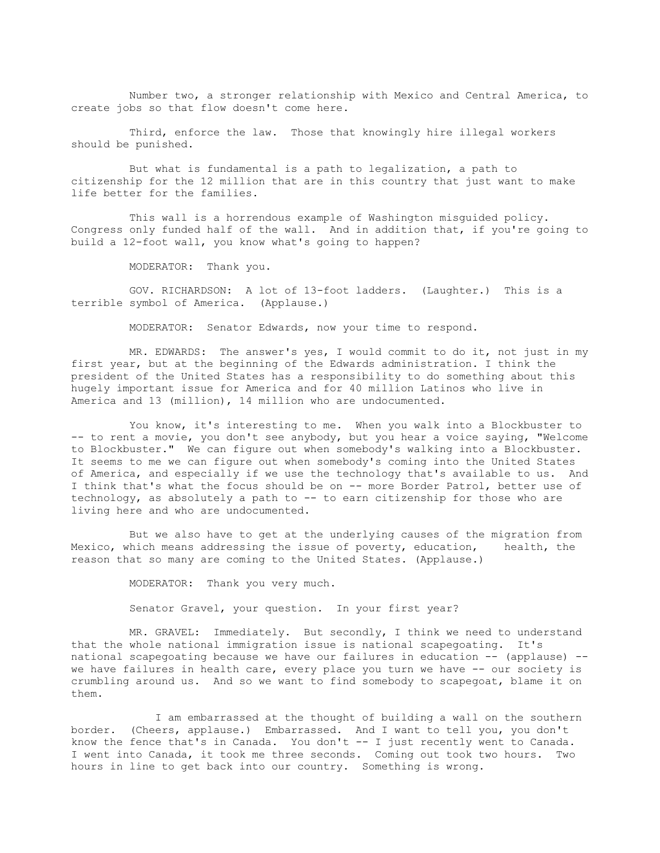Number two, a stronger relationship with Mexico and Central America, to create jobs so that flow doesn't come here.

 Third, enforce the law. Those that knowingly hire illegal workers should be punished.

 But what is fundamental is a path to legalization, a path to citizenship for the 12 million that are in this country that just want to make life better for the families.

 This wall is a horrendous example of Washington misguided policy. Congress only funded half of the wall. And in addition that, if you're going to build a 12-foot wall, you know what's going to happen?

MODERATOR: Thank you.

 GOV. RICHARDSON: A lot of 13-foot ladders. (Laughter.) This is a terrible symbol of America. (Applause.)

MODERATOR: Senator Edwards, now your time to respond.

 MR. EDWARDS: The answer's yes, I would commit to do it, not just in my first year, but at the beginning of the Edwards administration. I think the president of the United States has a responsibility to do something about this hugely important issue for America and for 40 million Latinos who live in America and 13 (million), 14 million who are undocumented.

 You know, it's interesting to me. When you walk into a Blockbuster to -- to rent a movie, you don't see anybody, but you hear a voice saying, "Welcome to Blockbuster." We can figure out when somebody's walking into a Blockbuster. It seems to me we can figure out when somebody's coming into the United States of America, and especially if we use the technology that's available to us. And I think that's what the focus should be on -- more Border Patrol, better use of technology, as absolutely a path to -- to earn citizenship for those who are living here and who are undocumented.

 But we also have to get at the underlying causes of the migration from Mexico, which means addressing the issue of poverty, education, health, the reason that so many are coming to the United States. (Applause.)

MODERATOR: Thank you very much.

Senator Gravel, your question. In your first year?

 MR. GRAVEL: Immediately. But secondly, I think we need to understand that the whole national immigration issue is national scapegoating. It's national scapegoating because we have our failures in education -- (applause) -we have failures in health care, every place you turn we have -- our society is crumbling around us. And so we want to find somebody to scapegoat, blame it on them.

 I am embarrassed at the thought of building a wall on the southern border. (Cheers, applause.) Embarrassed. And I want to tell you, you don't know the fence that's in Canada. You don't -- I just recently went to Canada. I went into Canada, it took me three seconds. Coming out took two hours. Two hours in line to get back into our country. Something is wrong.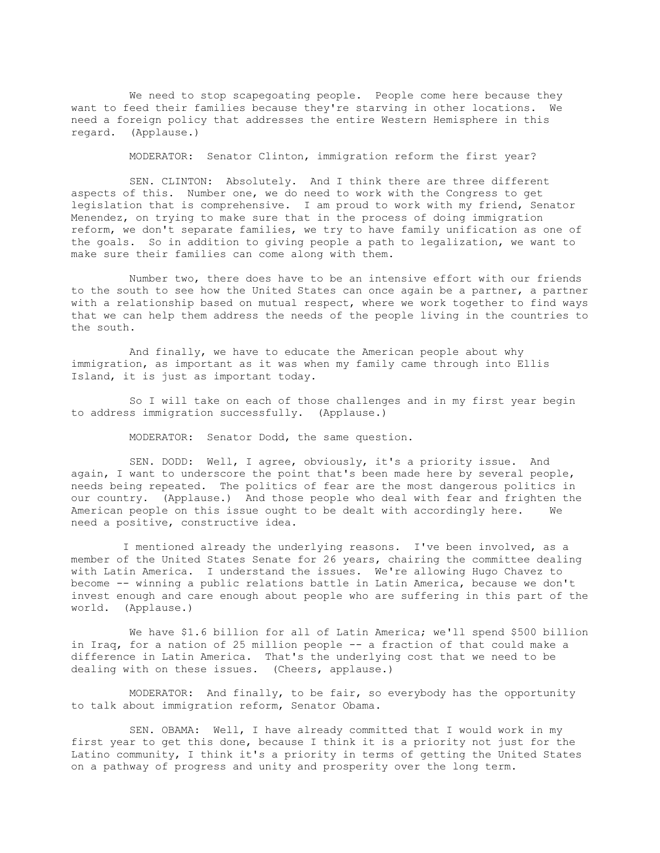We need to stop scapegoating people. People come here because they want to feed their families because they're starving in other locations. We need a foreign policy that addresses the entire Western Hemisphere in this regard. (Applause.)

MODERATOR: Senator Clinton, immigration reform the first year?

 SEN. CLINTON: Absolutely. And I think there are three different aspects of this. Number one, we do need to work with the Congress to get legislation that is comprehensive. I am proud to work with my friend, Senator Menendez, on trying to make sure that in the process of doing immigration reform, we don't separate families, we try to have family unification as one of the goals. So in addition to giving people a path to legalization, we want to make sure their families can come along with them.

 Number two, there does have to be an intensive effort with our friends to the south to see how the United States can once again be a partner, a partner with a relationship based on mutual respect, where we work together to find ways that we can help them address the needs of the people living in the countries to the south.

 And finally, we have to educate the American people about why immigration, as important as it was when my family came through into Ellis Island, it is just as important today.

 So I will take on each of those challenges and in my first year begin to address immigration successfully. (Applause.)

MODERATOR: Senator Dodd, the same question.

 SEN. DODD: Well, I agree, obviously, it's a priority issue. And again, I want to underscore the point that's been made here by several people, needs being repeated. The politics of fear are the most dangerous politics in our country. (Applause.) And those people who deal with fear and frighten the American people on this issue ought to be dealt with accordingly here. We need a positive, constructive idea.

 I mentioned already the underlying reasons. I've been involved, as a member of the United States Senate for 26 years, chairing the committee dealing with Latin America. I understand the issues. We're allowing Hugo Chavez to become -- winning a public relations battle in Latin America, because we don't invest enough and care enough about people who are suffering in this part of the world. (Applause.)

We have \$1.6 billion for all of Latin America; we'll spend \$500 billion in Iraq, for a nation of 25 million people -- a fraction of that could make a difference in Latin America. That's the underlying cost that we need to be dealing with on these issues. (Cheers, applause.)

 MODERATOR: And finally, to be fair, so everybody has the opportunity to talk about immigration reform, Senator Obama.

 SEN. OBAMA: Well, I have already committed that I would work in my first year to get this done, because I think it is a priority not just for the Latino community, I think it's a priority in terms of getting the United States on a pathway of progress and unity and prosperity over the long term.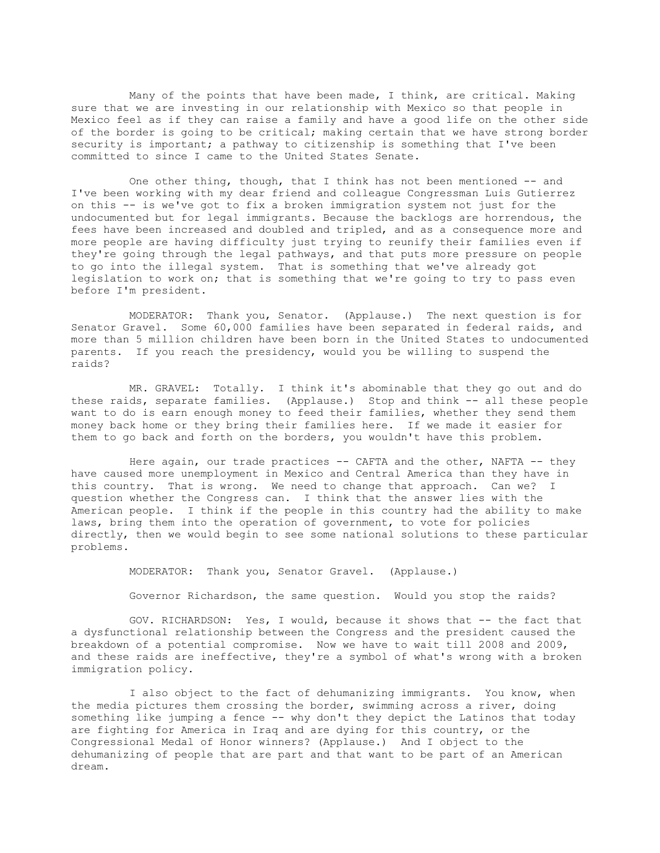Many of the points that have been made, I think, are critical. Making sure that we are investing in our relationship with Mexico so that people in Mexico feel as if they can raise a family and have a good life on the other side of the border is going to be critical; making certain that we have strong border security is important; a pathway to citizenship is something that I've been committed to since I came to the United States Senate.

One other thing, though, that I think has not been mentioned -- and I've been working with my dear friend and colleague Congressman Luis Gutierrez on this -- is we've got to fix a broken immigration system not just for the undocumented but for legal immigrants. Because the backlogs are horrendous, the fees have been increased and doubled and tripled, and as a consequence more and more people are having difficulty just trying to reunify their families even if they're going through the legal pathways, and that puts more pressure on people to go into the illegal system. That is something that we've already got legislation to work on; that is something that we're going to try to pass even before I'm president.

 MODERATOR: Thank you, Senator. (Applause.) The next question is for Senator Gravel. Some 60,000 families have been separated in federal raids, and more than 5 million children have been born in the United States to undocumented parents. If you reach the presidency, would you be willing to suspend the raids?

 MR. GRAVEL: Totally. I think it's abominable that they go out and do these raids, separate families. (Applause.) Stop and think -- all these people want to do is earn enough money to feed their families, whether they send them money back home or they bring their families here. If we made it easier for them to go back and forth on the borders, you wouldn't have this problem.

Here again, our trade practices -- CAFTA and the other, NAFTA -- they have caused more unemployment in Mexico and Central America than they have in this country. That is wrong. We need to change that approach. Can we? I question whether the Congress can. I think that the answer lies with the American people. I think if the people in this country had the ability to make laws, bring them into the operation of government, to vote for policies directly, then we would begin to see some national solutions to these particular problems.

MODERATOR: Thank you, Senator Gravel. (Applause.)

Governor Richardson, the same question. Would you stop the raids?

 GOV. RICHARDSON: Yes, I would, because it shows that -- the fact that a dysfunctional relationship between the Congress and the president caused the breakdown of a potential compromise. Now we have to wait till 2008 and 2009, and these raids are ineffective, they're a symbol of what's wrong with a broken immigration policy.

 I also object to the fact of dehumanizing immigrants. You know, when the media pictures them crossing the border, swimming across a river, doing something like jumping a fence -- why don't they depict the Latinos that today are fighting for America in Iraq and are dying for this country, or the Congressional Medal of Honor winners? (Applause.) And I object to the dehumanizing of people that are part and that want to be part of an American dream.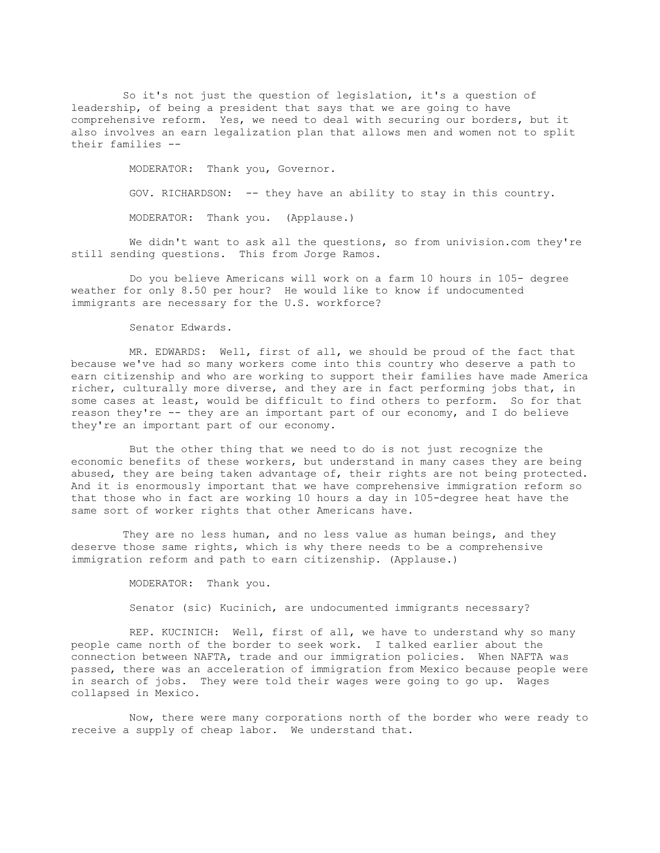So it's not just the question of legislation, it's a question of leadership, of being a president that says that we are going to have comprehensive reform. Yes, we need to deal with securing our borders, but it also involves an earn legalization plan that allows men and women not to split their families --

> MODERATOR: Thank you, Governor. GOV. RICHARDSON: -- they have an ability to stay in this country. MODERATOR: Thank you. (Applause.)

We didn't want to ask all the questions, so from univision.com they're still sending questions. This from Jorge Ramos.

 Do you believe Americans will work on a farm 10 hours in 105- degree weather for only 8.50 per hour? He would like to know if undocumented immigrants are necessary for the U.S. workforce?

Senator Edwards.

 MR. EDWARDS: Well, first of all, we should be proud of the fact that because we've had so many workers come into this country who deserve a path to earn citizenship and who are working to support their families have made America richer, culturally more diverse, and they are in fact performing jobs that, in some cases at least, would be difficult to find others to perform. So for that reason they're -- they are an important part of our economy, and I do believe they're an important part of our economy.

 But the other thing that we need to do is not just recognize the economic benefits of these workers, but understand in many cases they are being abused, they are being taken advantage of, their rights are not being protected. And it is enormously important that we have comprehensive immigration reform so that those who in fact are working 10 hours a day in 105-degree heat have the same sort of worker rights that other Americans have.

They are no less human, and no less value as human beings, and they deserve those same rights, which is why there needs to be a comprehensive immigration reform and path to earn citizenship. (Applause.)

MODERATOR: Thank you.

Senator (sic) Kucinich, are undocumented immigrants necessary?

 REP. KUCINICH: Well, first of all, we have to understand why so many people came north of the border to seek work. I talked earlier about the connection between NAFTA, trade and our immigration policies. When NAFTA was passed, there was an acceleration of immigration from Mexico because people were in search of jobs. They were told their wages were going to go up. Wages collapsed in Mexico.

 Now, there were many corporations north of the border who were ready to receive a supply of cheap labor. We understand that.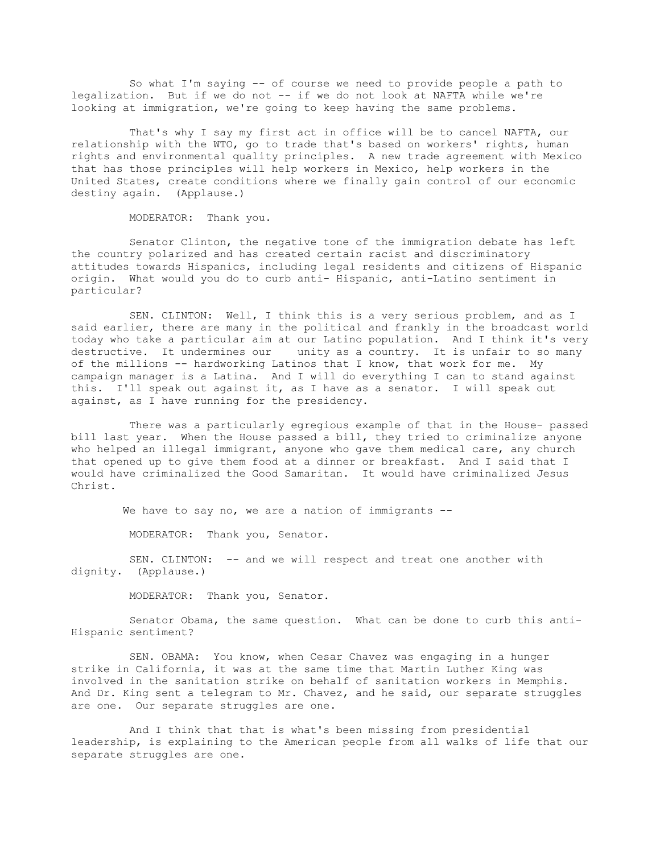So what I'm saying -- of course we need to provide people a path to legalization. But if we do not -- if we do not look at NAFTA while we're looking at immigration, we're going to keep having the same problems.

 That's why I say my first act in office will be to cancel NAFTA, our relationship with the WTO, go to trade that's based on workers' rights, human rights and environmental quality principles. A new trade agreement with Mexico that has those principles will help workers in Mexico, help workers in the United States, create conditions where we finally gain control of our economic destiny again. (Applause.)

MODERATOR: Thank you.

 Senator Clinton, the negative tone of the immigration debate has left the country polarized and has created certain racist and discriminatory attitudes towards Hispanics, including legal residents and citizens of Hispanic origin. What would you do to curb anti- Hispanic, anti-Latino sentiment in particular?

 SEN. CLINTON: Well, I think this is a very serious problem, and as I said earlier, there are many in the political and frankly in the broadcast world today who take a particular aim at our Latino population. And I think it's very destructive. It undermines our unity as a country. It is unfair to so many of the millions -- hardworking Latinos that I know, that work for me. My campaign manager is a Latina. And I will do everything I can to stand against this. I'll speak out against it, as I have as a senator. I will speak out against, as I have running for the presidency.

 There was a particularly egregious example of that in the House- passed bill last year. When the House passed a bill, they tried to criminalize anyone who helped an illegal immigrant, anyone who gave them medical care, any church that opened up to give them food at a dinner or breakfast. And I said that I would have criminalized the Good Samaritan. It would have criminalized Jesus Christ.

We have to say no, we are a nation of immigrants  $-$ 

MODERATOR: Thank you, Senator.

SEN. CLINTON: -- and we will respect and treat one another with dignity. (Applause.)

MODERATOR: Thank you, Senator.

 Senator Obama, the same question. What can be done to curb this anti-Hispanic sentiment?

 SEN. OBAMA: You know, when Cesar Chavez was engaging in a hunger strike in California, it was at the same time that Martin Luther King was involved in the sanitation strike on behalf of sanitation workers in Memphis. And Dr. King sent a telegram to Mr. Chavez, and he said, our separate struggles are one. Our separate struggles are one.

 And I think that that is what's been missing from presidential leadership, is explaining to the American people from all walks of life that our separate struggles are one.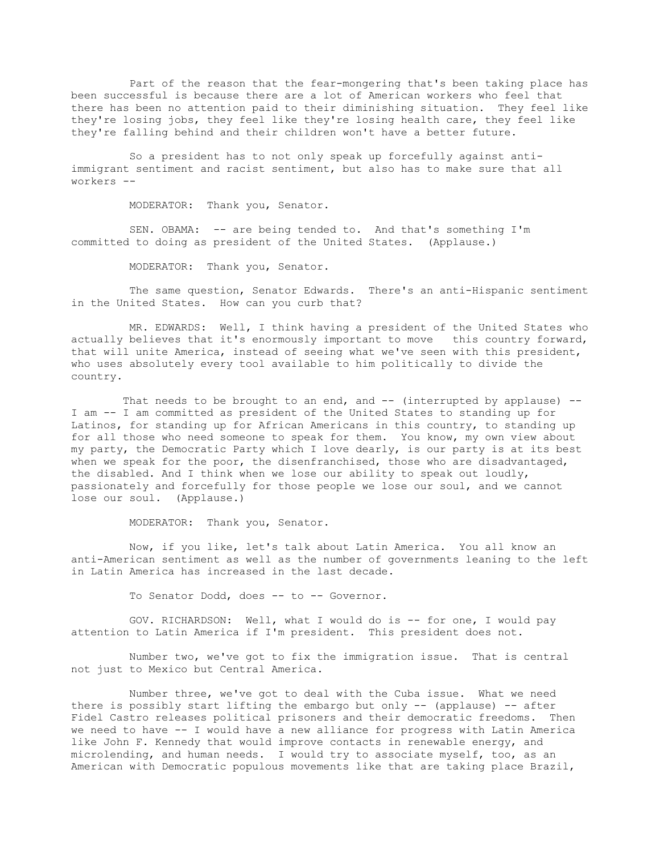Part of the reason that the fear-mongering that's been taking place has been successful is because there are a lot of American workers who feel that there has been no attention paid to their diminishing situation. They feel like they're losing jobs, they feel like they're losing health care, they feel like they're falling behind and their children won't have a better future.

 So a president has to not only speak up forcefully against antiimmigrant sentiment and racist sentiment, but also has to make sure that all workers --

MODERATOR: Thank you, Senator.

SEN. OBAMA: -- are being tended to. And that's something I'm committed to doing as president of the United States. (Applause.)

MODERATOR: Thank you, Senator.

 The same question, Senator Edwards. There's an anti-Hispanic sentiment in the United States. How can you curb that?

 MR. EDWARDS: Well, I think having a president of the United States who actually believes that it's enormously important to move this country forward, that will unite America, instead of seeing what we've seen with this president, who uses absolutely every tool available to him politically to divide the country.

That needs to be brought to an end, and  $-$  (interrupted by applause)  $-$ I am -- I am committed as president of the United States to standing up for Latinos, for standing up for African Americans in this country, to standing up for all those who need someone to speak for them. You know, my own view about my party, the Democratic Party which I love dearly, is our party is at its best when we speak for the poor, the disenfranchised, those who are disadvantaged, the disabled. And I think when we lose our ability to speak out loudly, passionately and forcefully for those people we lose our soul, and we cannot lose our soul. (Applause.)

MODERATOR: Thank you, Senator.

 Now, if you like, let's talk about Latin America. You all know an anti-American sentiment as well as the number of governments leaning to the left in Latin America has increased in the last decade.

To Senator Dodd, does -- to -- Governor.

 GOV. RICHARDSON: Well, what I would do is -- for one, I would pay attention to Latin America if I'm president. This president does not.

 Number two, we've got to fix the immigration issue. That is central not just to Mexico but Central America.

 Number three, we've got to deal with the Cuba issue. What we need there is possibly start lifting the embargo but only -- (applause) -- after Fidel Castro releases political prisoners and their democratic freedoms. Then we need to have -- I would have a new alliance for progress with Latin America like John F. Kennedy that would improve contacts in renewable energy, and microlending, and human needs. I would try to associate myself, too, as an American with Democratic populous movements like that are taking place Brazil,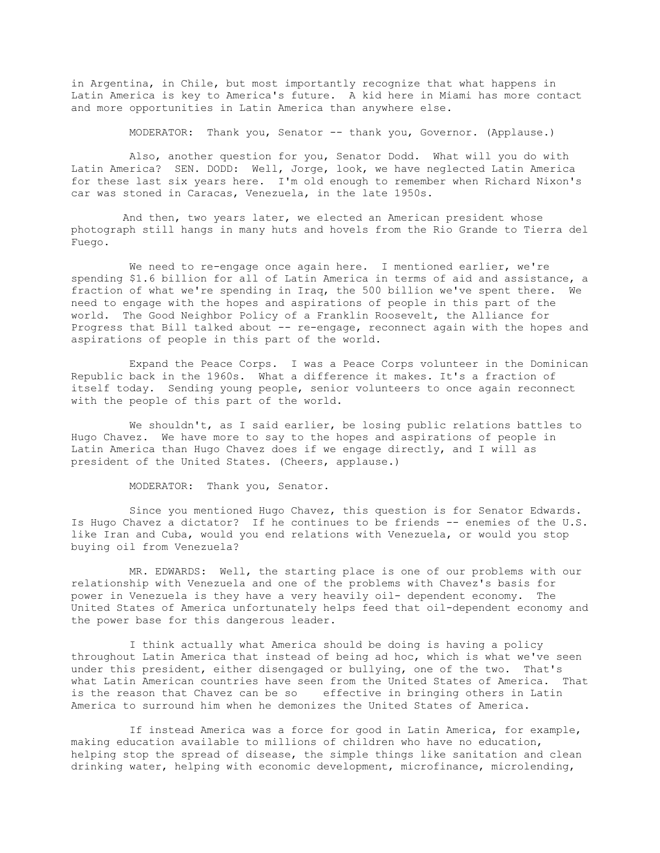in Argentina, in Chile, but most importantly recognize that what happens in Latin America is key to America's future. A kid here in Miami has more contact and more opportunities in Latin America than anywhere else.

MODERATOR: Thank you, Senator -- thank you, Governor. (Applause.)

 Also, another question for you, Senator Dodd. What will you do with Latin America? SEN. DODD: Well, Jorge, look, we have neglected Latin America for these last six years here. I'm old enough to remember when Richard Nixon's car was stoned in Caracas, Venezuela, in the late 1950s.

 And then, two years later, we elected an American president whose photograph still hangs in many huts and hovels from the Rio Grande to Tierra del Fuego.

We need to re-engage once again here. I mentioned earlier, we're spending \$1.6 billion for all of Latin America in terms of aid and assistance, a fraction of what we're spending in Iraq, the 500 billion we've spent there. We need to engage with the hopes and aspirations of people in this part of the world. The Good Neighbor Policy of a Franklin Roosevelt, the Alliance for Progress that Bill talked about -- re-engage, reconnect again with the hopes and aspirations of people in this part of the world.

 Expand the Peace Corps. I was a Peace Corps volunteer in the Dominican Republic back in the 1960s. What a difference it makes. It's a fraction of itself today. Sending young people, senior volunteers to once again reconnect with the people of this part of the world.

 We shouldn't, as I said earlier, be losing public relations battles to Hugo Chavez. We have more to say to the hopes and aspirations of people in Latin America than Hugo Chavez does if we engage directly, and I will as president of the United States. (Cheers, applause.)

MODERATOR: Thank you, Senator.

 Since you mentioned Hugo Chavez, this question is for Senator Edwards. Is Hugo Chavez a dictator? If he continues to be friends -- enemies of the U.S. like Iran and Cuba, would you end relations with Venezuela, or would you stop buying oil from Venezuela?

 MR. EDWARDS: Well, the starting place is one of our problems with our relationship with Venezuela and one of the problems with Chavez's basis for power in Venezuela is they have a very heavily oil- dependent economy. The United States of America unfortunately helps feed that oil-dependent economy and the power base for this dangerous leader.

 I think actually what America should be doing is having a policy throughout Latin America that instead of being ad hoc, which is what we've seen under this president, either disengaged or bullying, one of the two. That's what Latin American countries have seen from the United States of America. That is the reason that Chavez can be so effective in bringing others in Latin America to surround him when he demonizes the United States of America.

 If instead America was a force for good in Latin America, for example, making education available to millions of children who have no education, helping stop the spread of disease, the simple things like sanitation and clean drinking water, helping with economic development, microfinance, microlending,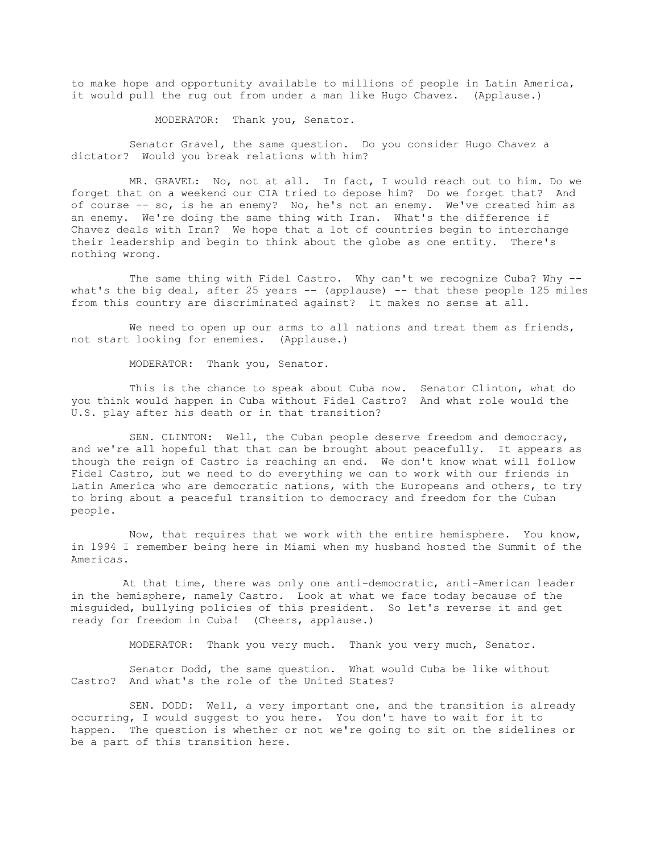to make hope and opportunity available to millions of people in Latin America, it would pull the rug out from under a man like Hugo Chavez. (Applause.)

MODERATOR: Thank you, Senator.

 Senator Gravel, the same question. Do you consider Hugo Chavez a dictator? Would you break relations with him?

 MR. GRAVEL: No, not at all. In fact, I would reach out to him. Do we forget that on a weekend our CIA tried to depose him? Do we forget that? And of course -- so, is he an enemy? No, he's not an enemy. We've created him as an enemy. We're doing the same thing with Iran. What's the difference if Chavez deals with Iran? We hope that a lot of countries begin to interchange their leadership and begin to think about the globe as one entity. There's nothing wrong.

The same thing with Fidel Castro. Why can't we recognize Cuba? Why -what's the big deal, after 25 years  $-$  (applause)  $-$  that these people 125 miles from this country are discriminated against? It makes no sense at all.

We need to open up our arms to all nations and treat them as friends, not start looking for enemies. (Applause.)

MODERATOR: Thank you, Senator.

 This is the chance to speak about Cuba now. Senator Clinton, what do you think would happen in Cuba without Fidel Castro? And what role would the U.S. play after his death or in that transition?

 SEN. CLINTON: Well, the Cuban people deserve freedom and democracy, and we're all hopeful that that can be brought about peacefully. It appears as though the reign of Castro is reaching an end. We don't know what will follow Fidel Castro, but we need to do everything we can to work with our friends in Latin America who are democratic nations, with the Europeans and others, to try to bring about a peaceful transition to democracy and freedom for the Cuban people.

Now, that requires that we work with the entire hemisphere. You know, in 1994 I remember being here in Miami when my husband hosted the Summit of the Americas.

 At that time, there was only one anti-democratic, anti-American leader in the hemisphere, namely Castro. Look at what we face today because of the misguided, bullying policies of this president. So let's reverse it and get ready for freedom in Cuba! (Cheers, applause.)

MODERATOR: Thank you very much. Thank you very much, Senator.

 Senator Dodd, the same question. What would Cuba be like without Castro? And what's the role of the United States?

SEN. DODD: Well, a very important one, and the transition is already occurring, I would suggest to you here. You don't have to wait for it to happen. The question is whether or not we're going to sit on the sidelines or be a part of this transition here.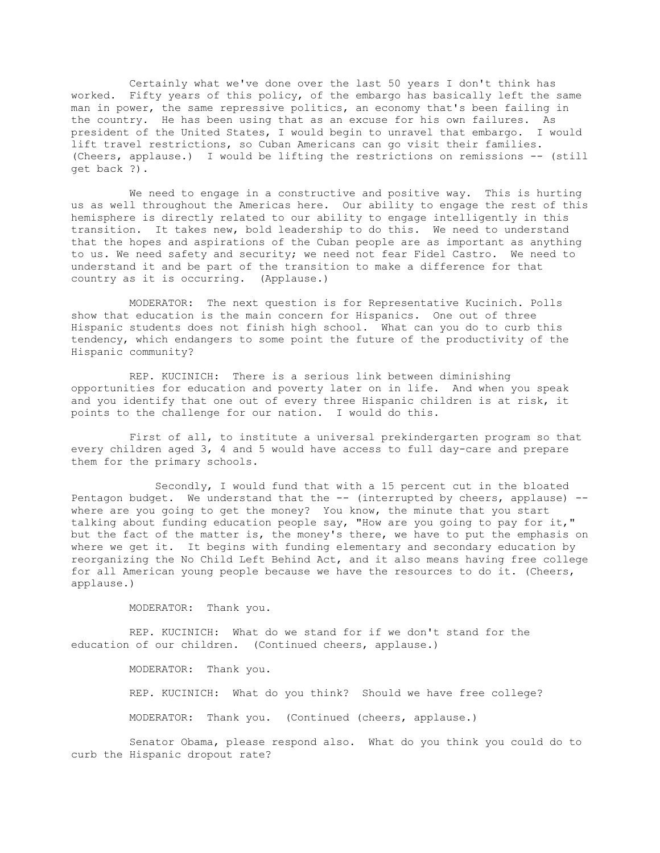Certainly what we've done over the last 50 years I don't think has worked. Fifty years of this policy, of the embargo has basically left the same man in power, the same repressive politics, an economy that's been failing in the country. He has been using that as an excuse for his own failures. As president of the United States, I would begin to unravel that embargo. I would lift travel restrictions, so Cuban Americans can go visit their families. (Cheers, applause.) I would be lifting the restrictions on remissions -- (still get back ?).

 We need to engage in a constructive and positive way. This is hurting us as well throughout the Americas here. Our ability to engage the rest of this hemisphere is directly related to our ability to engage intelligently in this transition. It takes new, bold leadership to do this. We need to understand that the hopes and aspirations of the Cuban people are as important as anything to us. We need safety and security; we need not fear Fidel Castro. We need to understand it and be part of the transition to make a difference for that country as it is occurring. (Applause.)

 MODERATOR: The next question is for Representative Kucinich. Polls show that education is the main concern for Hispanics. One out of three Hispanic students does not finish high school. What can you do to curb this tendency, which endangers to some point the future of the productivity of the Hispanic community?

 REP. KUCINICH: There is a serious link between diminishing opportunities for education and poverty later on in life. And when you speak and you identify that one out of every three Hispanic children is at risk, it points to the challenge for our nation. I would do this.

 First of all, to institute a universal prekindergarten program so that every children aged 3, 4 and 5 would have access to full day-care and prepare them for the primary schools.

 Secondly, I would fund that with a 15 percent cut in the bloated Pentagon budget. We understand that the -- (interrupted by cheers, applause) -where are you going to get the money? You know, the minute that you start talking about funding education people say, "How are you going to pay for it," but the fact of the matter is, the money's there, we have to put the emphasis on where we get it. It begins with funding elementary and secondary education by reorganizing the No Child Left Behind Act, and it also means having free college for all American young people because we have the resources to do it. (Cheers, applause.)

MODERATOR: Thank you.

 REP. KUCINICH: What do we stand for if we don't stand for the education of our children. (Continued cheers, applause.)

MODERATOR: Thank you.

REP. KUCINICH: What do you think? Should we have free college?

MODERATOR: Thank you. (Continued (cheers, applause.)

 Senator Obama, please respond also. What do you think you could do to curb the Hispanic dropout rate?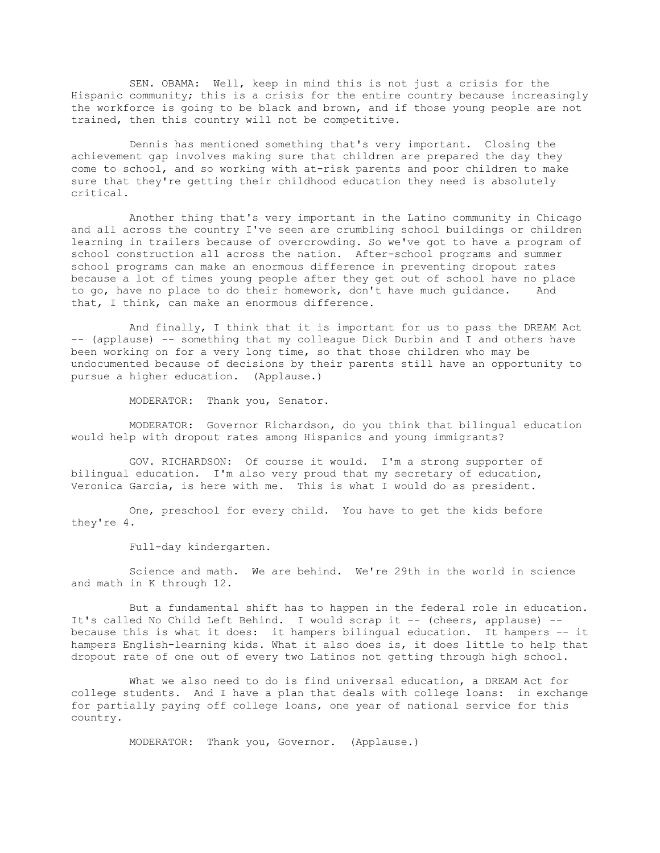SEN. OBAMA: Well, keep in mind this is not just a crisis for the Hispanic community; this is a crisis for the entire country because increasingly the workforce is going to be black and brown, and if those young people are not trained, then this country will not be competitive.

 Dennis has mentioned something that's very important. Closing the achievement gap involves making sure that children are prepared the day they come to school, and so working with at-risk parents and poor children to make sure that they're getting their childhood education they need is absolutely critical.

 Another thing that's very important in the Latino community in Chicago and all across the country I've seen are crumbling school buildings or children learning in trailers because of overcrowding. So we've got to have a program of school construction all across the nation. After-school programs and summer school programs can make an enormous difference in preventing dropout rates because a lot of times young people after they get out of school have no place to go, have no place to do their homework, don't have much guidance. And that, I think, can make an enormous difference.

 And finally, I think that it is important for us to pass the DREAM Act -- (applause) -- something that my colleague Dick Durbin and I and others have been working on for a very long time, so that those children who may be undocumented because of decisions by their parents still have an opportunity to pursue a higher education. (Applause.)

MODERATOR: Thank you, Senator.

 MODERATOR: Governor Richardson, do you think that bilingual education would help with dropout rates among Hispanics and young immigrants?

 GOV. RICHARDSON: Of course it would. I'm a strong supporter of bilingual education. I'm also very proud that my secretary of education, Veronica Garcia, is here with me. This is what I would do as president.

 One, preschool for every child. You have to get the kids before they're 4.

Full-day kindergarten.

 Science and math. We are behind. We're 29th in the world in science and math in K through 12.

 But a fundamental shift has to happen in the federal role in education. It's called No Child Left Behind. I would scrap it -- (cheers, applause) -because this is what it does: it hampers bilingual education. It hampers -- it hampers English-learning kids. What it also does is, it does little to help that dropout rate of one out of every two Latinos not getting through high school.

What we also need to do is find universal education, a DREAM Act for college students. And I have a plan that deals with college loans: in exchange for partially paying off college loans, one year of national service for this country.

MODERATOR: Thank you, Governor. (Applause.)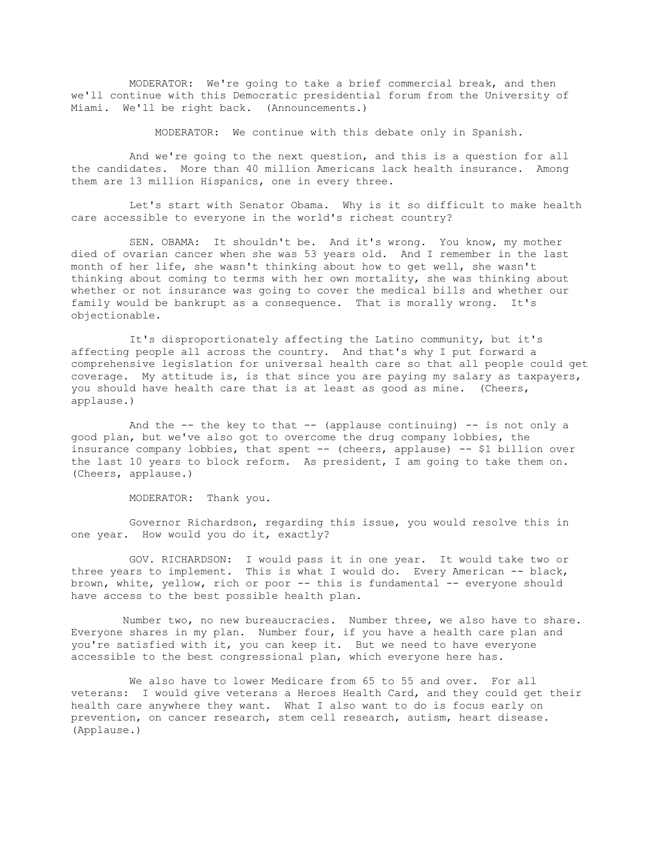MODERATOR: We're going to take a brief commercial break, and then we'll continue with this Democratic presidential forum from the University of Miami. We'll be right back. (Announcements.)

MODERATOR: We continue with this debate only in Spanish.

 And we're going to the next question, and this is a question for all the candidates. More than 40 million Americans lack health insurance. Among them are 13 million Hispanics, one in every three.

 Let's start with Senator Obama. Why is it so difficult to make health care accessible to everyone in the world's richest country?

 SEN. OBAMA: It shouldn't be. And it's wrong. You know, my mother died of ovarian cancer when she was 53 years old. And I remember in the last month of her life, she wasn't thinking about how to get well, she wasn't thinking about coming to terms with her own mortality, she was thinking about whether or not insurance was going to cover the medical bills and whether our family would be bankrupt as a consequence. That is morally wrong. It's objectionable.

 It's disproportionately affecting the Latino community, but it's affecting people all across the country. And that's why I put forward a comprehensive legislation for universal health care so that all people could get coverage. My attitude is, is that since you are paying my salary as taxpayers, you should have health care that is at least as good as mine. (Cheers, applause.)

And the  $-$ - the key to that  $-$  (applause continuing)  $-$  is not only a good plan, but we've also got to overcome the drug company lobbies, the insurance company lobbies, that spent -- (cheers, applause) -- \$1 billion over the last 10 years to block reform. As president, I am going to take them on. (Cheers, applause.)

MODERATOR: Thank you.

 Governor Richardson, regarding this issue, you would resolve this in one year. How would you do it, exactly?

 GOV. RICHARDSON: I would pass it in one year. It would take two or three years to implement. This is what I would do. Every American -- black, brown, white, yellow, rich or poor -- this is fundamental -- everyone should have access to the best possible health plan.

 Number two, no new bureaucracies. Number three, we also have to share. Everyone shares in my plan. Number four, if you have a health care plan and you're satisfied with it, you can keep it. But we need to have everyone accessible to the best congressional plan, which everyone here has.

 We also have to lower Medicare from 65 to 55 and over. For all veterans: I would give veterans a Heroes Health Card, and they could get their health care anywhere they want. What I also want to do is focus early on prevention, on cancer research, stem cell research, autism, heart disease. (Applause.)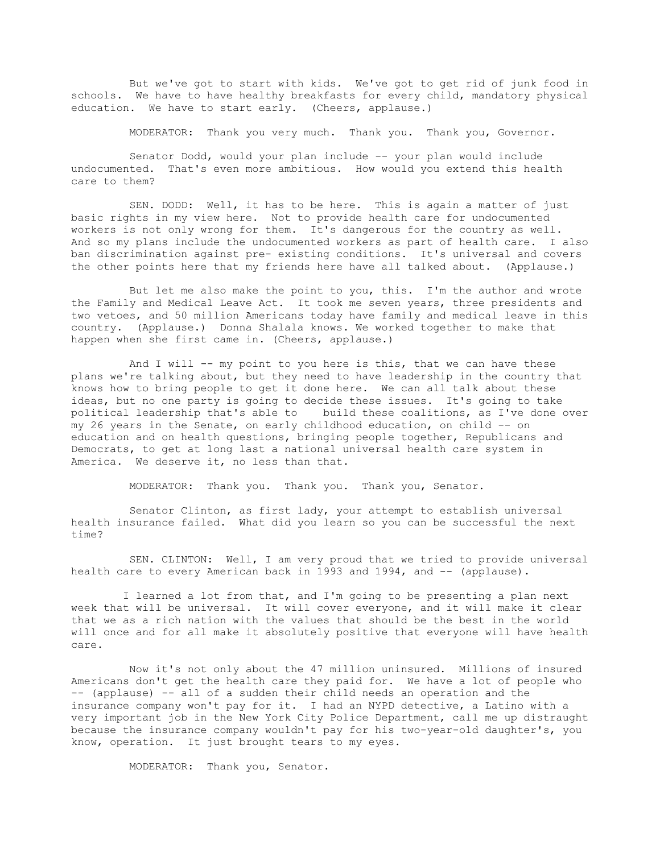But we've got to start with kids. We've got to get rid of junk food in schools. We have to have healthy breakfasts for every child, mandatory physical education. We have to start early. (Cheers, applause.)

MODERATOR: Thank you very much. Thank you. Thank you, Governor.

 Senator Dodd, would your plan include -- your plan would include undocumented. That's even more ambitious. How would you extend this health care to them?

 SEN. DODD: Well, it has to be here. This is again a matter of just basic rights in my view here. Not to provide health care for undocumented workers is not only wrong for them. It's dangerous for the country as well. And so my plans include the undocumented workers as part of health care. I also ban discrimination against pre- existing conditions. It's universal and covers the other points here that my friends here have all talked about. (Applause.)

 But let me also make the point to you, this. I'm the author and wrote the Family and Medical Leave Act. It took me seven years, three presidents and two vetoes, and 50 million Americans today have family and medical leave in this country. (Applause.) Donna Shalala knows. We worked together to make that happen when she first came in. (Cheers, applause.)

And I will -- my point to you here is this, that we can have these plans we're talking about, but they need to have leadership in the country that knows how to bring people to get it done here. We can all talk about these ideas, but no one party is going to decide these issues. It's going to take political leadership that's able to build these coalitions, as I've done over my 26 years in the Senate, on early childhood education, on child -- on education and on health questions, bringing people together, Republicans and Democrats, to get at long last a national universal health care system in America. We deserve it, no less than that.

MODERATOR: Thank you. Thank you. Thank you, Senator.

 Senator Clinton, as first lady, your attempt to establish universal health insurance failed. What did you learn so you can be successful the next time?

 SEN. CLINTON: Well, I am very proud that we tried to provide universal health care to every American back in 1993 and 1994, and -- (applause).

 I learned a lot from that, and I'm going to be presenting a plan next week that will be universal. It will cover everyone, and it will make it clear that we as a rich nation with the values that should be the best in the world will once and for all make it absolutely positive that everyone will have health care.

 Now it's not only about the 47 million uninsured. Millions of insured Americans don't get the health care they paid for. We have a lot of people who -- (applause) -- all of a sudden their child needs an operation and the insurance company won't pay for it. I had an NYPD detective, a Latino with a very important job in the New York City Police Department, call me up distraught because the insurance company wouldn't pay for his two-year-old daughter's, you know, operation. It just brought tears to my eyes.

MODERATOR: Thank you, Senator.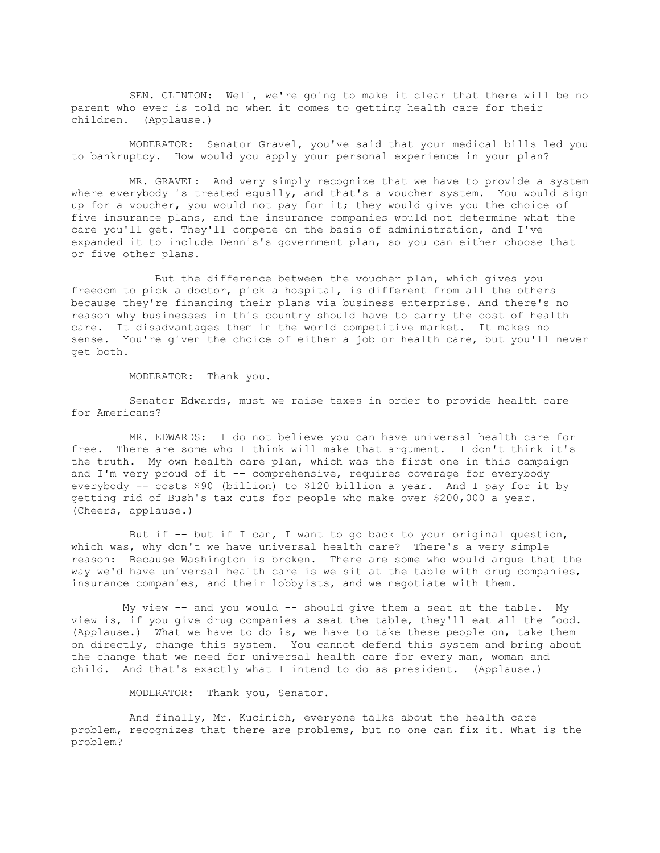SEN. CLINTON: Well, we're going to make it clear that there will be no parent who ever is told no when it comes to getting health care for their children. (Applause.)

 MODERATOR: Senator Gravel, you've said that your medical bills led you to bankruptcy. How would you apply your personal experience in your plan?

 MR. GRAVEL: And very simply recognize that we have to provide a system where everybody is treated equally, and that's a voucher system. You would sign up for a voucher, you would not pay for it; they would give you the choice of five insurance plans, and the insurance companies would not determine what the care you'll get. They'll compete on the basis of administration, and I've expanded it to include Dennis's government plan, so you can either choose that or five other plans.

 But the difference between the voucher plan, which gives you freedom to pick a doctor, pick a hospital, is different from all the others because they're financing their plans via business enterprise. And there's no reason why businesses in this country should have to carry the cost of health care. It disadvantages them in the world competitive market. It makes no sense. You're given the choice of either a job or health care, but you'll never get both.

MODERATOR: Thank you.

 Senator Edwards, must we raise taxes in order to provide health care for Americans?

 MR. EDWARDS: I do not believe you can have universal health care for free. There are some who I think will make that argument. I don't think it's the truth. My own health care plan, which was the first one in this campaign and I'm very proud of it -- comprehensive, requires coverage for everybody everybody -- costs \$90 (billion) to \$120 billion a year. And I pay for it by getting rid of Bush's tax cuts for people who make over \$200,000 a year. (Cheers, applause.)

 But if -- but if I can, I want to go back to your original question, which was, why don't we have universal health care? There's a very simple reason: Because Washington is broken. There are some who would argue that the way we'd have universal health care is we sit at the table with drug companies, insurance companies, and their lobbyists, and we negotiate with them.

My view  $-$ - and you would  $-$ - should give them a seat at the table. My view is, if you give drug companies a seat the table, they'll eat all the food. (Applause.) What we have to do is, we have to take these people on, take them on directly, change this system. You cannot defend this system and bring about the change that we need for universal health care for every man, woman and child. And that's exactly what I intend to do as president. (Applause.)

MODERATOR: Thank you, Senator.

 And finally, Mr. Kucinich, everyone talks about the health care problem, recognizes that there are problems, but no one can fix it. What is the problem?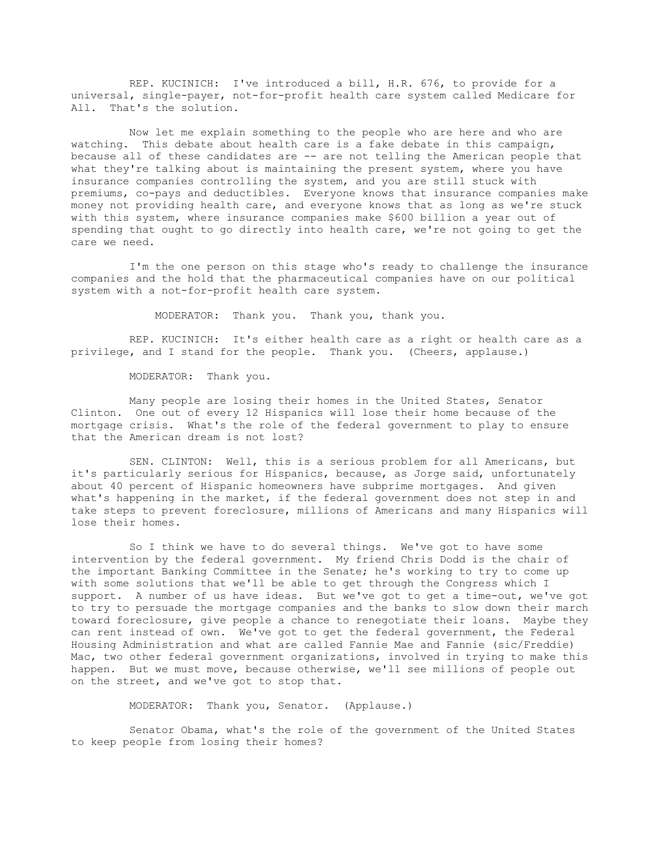REP. KUCINICH: I've introduced a bill, H.R. 676, to provide for a universal, single-payer, not-for-profit health care system called Medicare for All. That's the solution.

 Now let me explain something to the people who are here and who are watching. This debate about health care is a fake debate in this campaign, because all of these candidates are -- are not telling the American people that what they're talking about is maintaining the present system, where you have insurance companies controlling the system, and you are still stuck with premiums, co-pays and deductibles. Everyone knows that insurance companies make money not providing health care, and everyone knows that as long as we're stuck with this system, where insurance companies make \$600 billion a year out of spending that ought to go directly into health care, we're not going to get the care we need.

 I'm the one person on this stage who's ready to challenge the insurance companies and the hold that the pharmaceutical companies have on our political system with a not-for-profit health care system.

MODERATOR: Thank you. Thank you, thank you.

 REP. KUCINICH: It's either health care as a right or health care as a privilege, and I stand for the people. Thank you. (Cheers, applause.)

MODERATOR: Thank you.

 Many people are losing their homes in the United States, Senator Clinton. One out of every 12 Hispanics will lose their home because of the mortgage crisis. What's the role of the federal government to play to ensure that the American dream is not lost?

 SEN. CLINTON: Well, this is a serious problem for all Americans, but it's particularly serious for Hispanics, because, as Jorge said, unfortunately about 40 percent of Hispanic homeowners have subprime mortgages. And given what's happening in the market, if the federal government does not step in and take steps to prevent foreclosure, millions of Americans and many Hispanics will lose their homes.

 So I think we have to do several things. We've got to have some intervention by the federal government. My friend Chris Dodd is the chair of the important Banking Committee in the Senate; he's working to try to come up with some solutions that we'll be able to get through the Congress which I support. A number of us have ideas. But we've got to get a time-out, we've got to try to persuade the mortgage companies and the banks to slow down their march toward foreclosure, give people a chance to renegotiate their loans. Maybe they can rent instead of own. We've got to get the federal government, the Federal Housing Administration and what are called Fannie Mae and Fannie (sic/Freddie) Mac, two other federal government organizations, involved in trying to make this happen. But we must move, because otherwise, we'll see millions of people out on the street, and we've got to stop that.

MODERATOR: Thank you, Senator. (Applause.)

 Senator Obama, what's the role of the government of the United States to keep people from losing their homes?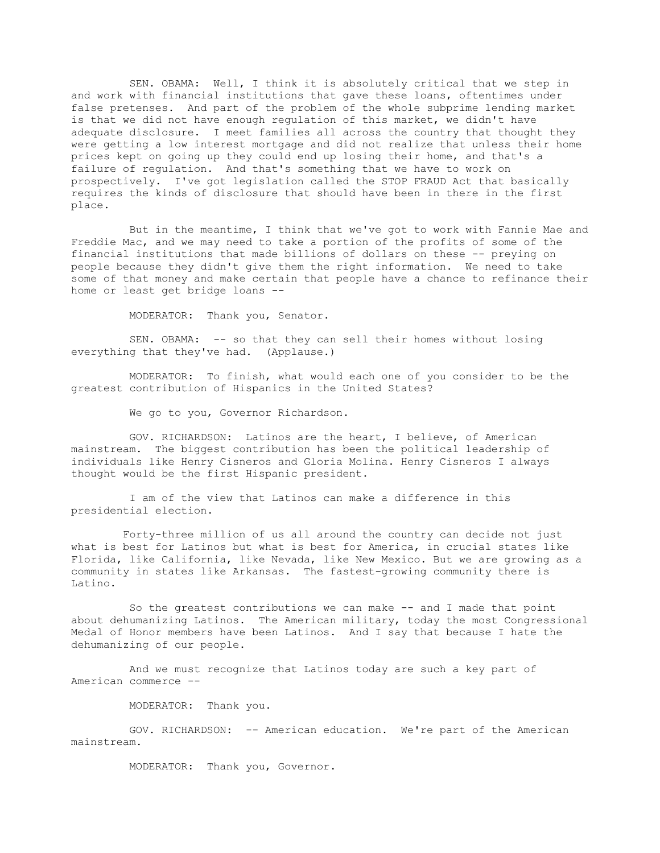SEN. OBAMA: Well, I think it is absolutely critical that we step in and work with financial institutions that gave these loans, oftentimes under false pretenses. And part of the problem of the whole subprime lending market is that we did not have enough regulation of this market, we didn't have adequate disclosure. I meet families all across the country that thought they were getting a low interest mortgage and did not realize that unless their home prices kept on going up they could end up losing their home, and that's a failure of regulation. And that's something that we have to work on prospectively. I've got legislation called the STOP FRAUD Act that basically requires the kinds of disclosure that should have been in there in the first place.

 But in the meantime, I think that we've got to work with Fannie Mae and Freddie Mac, and we may need to take a portion of the profits of some of the financial institutions that made billions of dollars on these -- preying on people because they didn't give them the right information. We need to take some of that money and make certain that people have a chance to refinance their home or least get bridge loans --

MODERATOR: Thank you, Senator.

SEN. OBAMA: -- so that they can sell their homes without losing everything that they've had. (Applause.)

 MODERATOR: To finish, what would each one of you consider to be the greatest contribution of Hispanics in the United States?

We go to you, Governor Richardson.

 GOV. RICHARDSON: Latinos are the heart, I believe, of American mainstream. The biggest contribution has been the political leadership of individuals like Henry Cisneros and Gloria Molina. Henry Cisneros I always thought would be the first Hispanic president.

 I am of the view that Latinos can make a difference in this presidential election.

 Forty-three million of us all around the country can decide not just what is best for Latinos but what is best for America, in crucial states like Florida, like California, like Nevada, like New Mexico. But we are growing as a community in states like Arkansas. The fastest-growing community there is Latino.

So the greatest contributions we can make  $-$ - and I made that point about dehumanizing Latinos. The American military, today the most Congressional Medal of Honor members have been Latinos. And I say that because I hate the dehumanizing of our people.

 And we must recognize that Latinos today are such a key part of American commerce --

MODERATOR: Thank you.

 GOV. RICHARDSON: -- American education. We're part of the American mainstream.

MODERATOR: Thank you, Governor.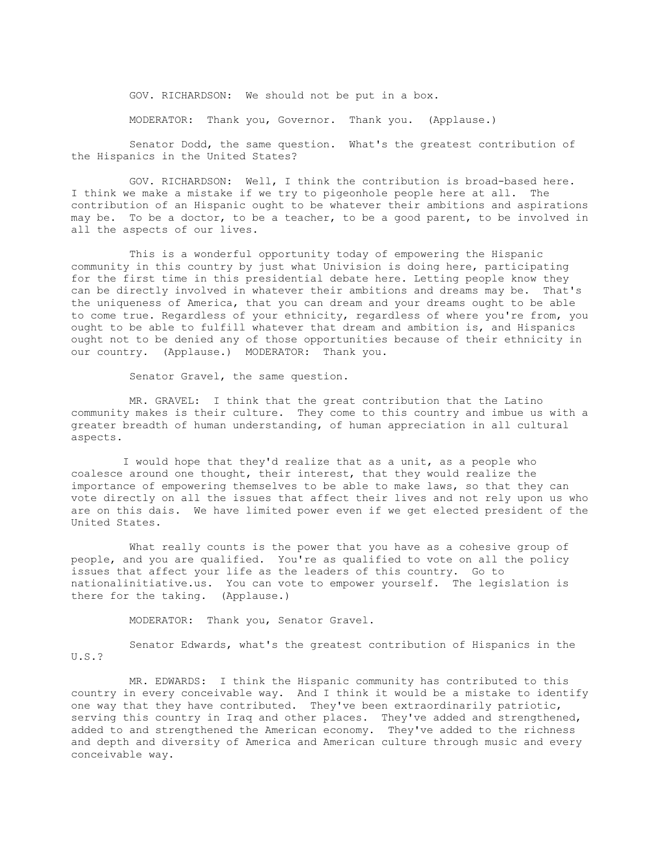GOV. RICHARDSON: We should not be put in a box.

MODERATOR: Thank you, Governor. Thank you. (Applause.)

 Senator Dodd, the same question. What's the greatest contribution of the Hispanics in the United States?

 GOV. RICHARDSON: Well, I think the contribution is broad-based here. I think we make a mistake if we try to pigeonhole people here at all. The contribution of an Hispanic ought to be whatever their ambitions and aspirations may be. To be a doctor, to be a teacher, to be a good parent, to be involved in all the aspects of our lives.

 This is a wonderful opportunity today of empowering the Hispanic community in this country by just what Univision is doing here, participating for the first time in this presidential debate here. Letting people know they can be directly involved in whatever their ambitions and dreams may be. That's the uniqueness of America, that you can dream and your dreams ought to be able to come true. Regardless of your ethnicity, regardless of where you're from, you ought to be able to fulfill whatever that dream and ambition is, and Hispanics ought not to be denied any of those opportunities because of their ethnicity in our country. (Applause.) MODERATOR: Thank you.

Senator Gravel, the same question.

 MR. GRAVEL: I think that the great contribution that the Latino community makes is their culture. They come to this country and imbue us with a greater breadth of human understanding, of human appreciation in all cultural aspects.

 I would hope that they'd realize that as a unit, as a people who coalesce around one thought, their interest, that they would realize the importance of empowering themselves to be able to make laws, so that they can vote directly on all the issues that affect their lives and not rely upon us who are on this dais. We have limited power even if we get elected president of the United States.

 What really counts is the power that you have as a cohesive group of people, and you are qualified. You're as qualified to vote on all the policy issues that affect your life as the leaders of this country. Go to nationalinitiative.us. You can vote to empower yourself. The legislation is there for the taking. (Applause.)

MODERATOR: Thank you, Senator Gravel.

 Senator Edwards, what's the greatest contribution of Hispanics in the U.S.?

 MR. EDWARDS: I think the Hispanic community has contributed to this country in every conceivable way. And I think it would be a mistake to identify one way that they have contributed. They've been extraordinarily patriotic, serving this country in Iraq and other places. They've added and strengthened, added to and strengthened the American economy. They've added to the richness and depth and diversity of America and American culture through music and every conceivable way.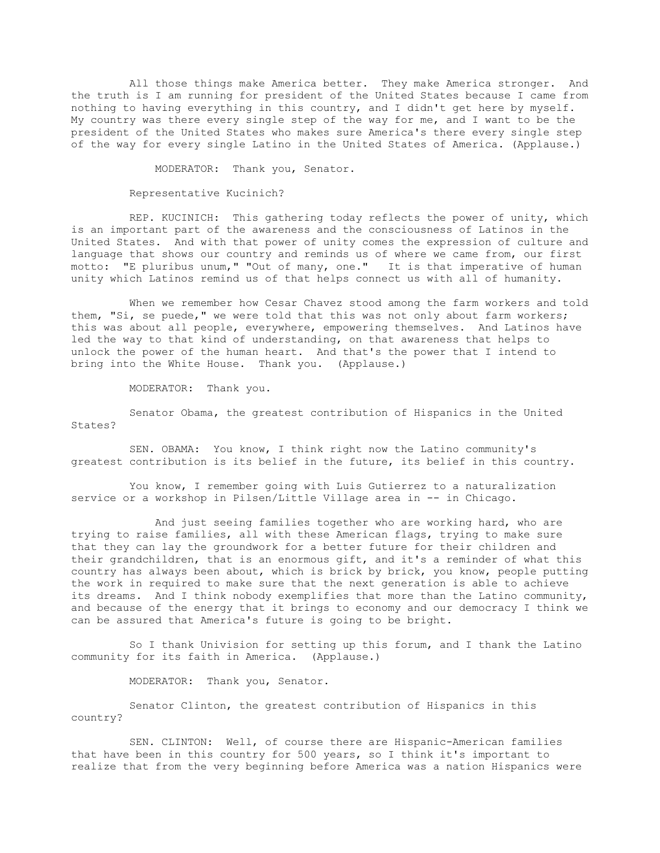All those things make America better. They make America stronger. And the truth is I am running for president of the United States because I came from nothing to having everything in this country, and I didn't get here by myself. My country was there every single step of the way for me, and I want to be the president of the United States who makes sure America's there every single step of the way for every single Latino in the United States of America. (Applause.)

MODERATOR: Thank you, Senator.

## Representative Kucinich?

 REP. KUCINICH: This gathering today reflects the power of unity, which is an important part of the awareness and the consciousness of Latinos in the United States. And with that power of unity comes the expression of culture and language that shows our country and reminds us of where we came from, our first motto: "E pluribus unum," "Out of many, one." It is that imperative of human unity which Latinos remind us of that helps connect us with all of humanity.

 When we remember how Cesar Chavez stood among the farm workers and told them, "Si, se puede," we were told that this was not only about farm workers; this was about all people, everywhere, empowering themselves. And Latinos have led the way to that kind of understanding, on that awareness that helps to unlock the power of the human heart. And that's the power that I intend to bring into the White House. Thank you. (Applause.)

MODERATOR: Thank you.

 Senator Obama, the greatest contribution of Hispanics in the United States?

 SEN. OBAMA: You know, I think right now the Latino community's greatest contribution is its belief in the future, its belief in this country.

 You know, I remember going with Luis Gutierrez to a naturalization service or a workshop in Pilsen/Little Village area in -- in Chicago.

 And just seeing families together who are working hard, who are trying to raise families, all with these American flags, trying to make sure that they can lay the groundwork for a better future for their children and their grandchildren, that is an enormous gift, and it's a reminder of what this country has always been about, which is brick by brick, you know, people putting the work in required to make sure that the next generation is able to achieve its dreams. And I think nobody exemplifies that more than the Latino community, and because of the energy that it brings to economy and our democracy I think we can be assured that America's future is going to be bright.

 So I thank Univision for setting up this forum, and I thank the Latino community for its faith in America. (Applause.)

MODERATOR: Thank you, Senator.

 Senator Clinton, the greatest contribution of Hispanics in this country?

 SEN. CLINTON: Well, of course there are Hispanic-American families that have been in this country for 500 years, so I think it's important to realize that from the very beginning before America was a nation Hispanics were